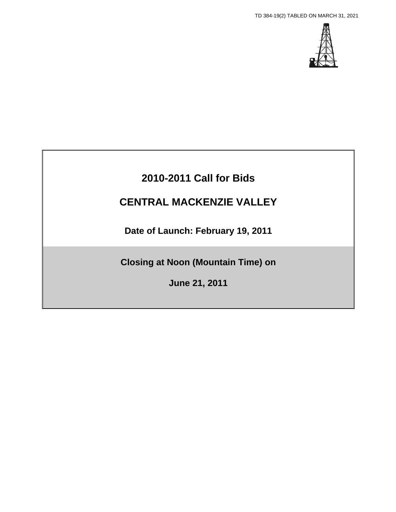TD 384-19(2) TABLED ON MARCH 31, 2021



# **2010-2011 Call for Bids**

# **CENTRAL MACKENZIE VALLEY**

**Date of Launch: February 19, 2011** 

**Closing at Noon (Mountain Time) on** 

**June 21, 2011**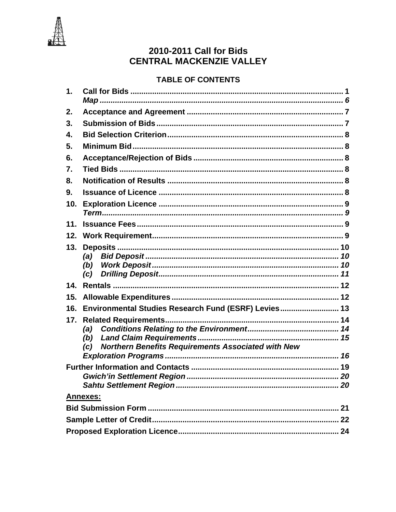

# 2010-2011 Call for Bids **CENTRAL MACKENZIE VALLEY**

# **TABLE OF CONTENTS**

| 1.  |                                                                  |  |
|-----|------------------------------------------------------------------|--|
| 2.  |                                                                  |  |
| 3.  |                                                                  |  |
| 4.  |                                                                  |  |
| 5.  |                                                                  |  |
| 6.  |                                                                  |  |
| 7.  |                                                                  |  |
| 8.  |                                                                  |  |
| 9.  |                                                                  |  |
| 10. |                                                                  |  |
|     |                                                                  |  |
| 11. |                                                                  |  |
| 12. |                                                                  |  |
| 13. |                                                                  |  |
|     |                                                                  |  |
|     | (b)<br>(c)                                                       |  |
| 14. |                                                                  |  |
| 15. |                                                                  |  |
| 16. | Environmental Studies Research Fund (ESRF) Levies 13             |  |
| 17. |                                                                  |  |
|     | (a)                                                              |  |
|     | (b)                                                              |  |
|     | <b>Northern Benefits Requirements Associated with New</b><br>(c) |  |
|     |                                                                  |  |
|     | <b>Gwich'in Settlement Region.</b>                               |  |
|     |                                                                  |  |
|     | <b>Annexes:</b>                                                  |  |
|     |                                                                  |  |
|     |                                                                  |  |
|     |                                                                  |  |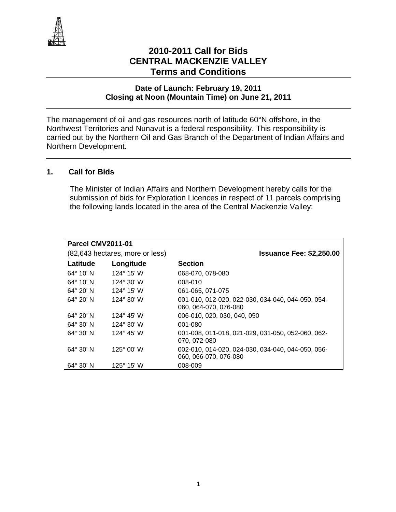

# **2010-2011 Call for Bids CENTRAL MACKENZIE VALLEY Terms and Conditions**

#### **Date of Launch: February 19, 2011 Closing at Noon (Mountain Time) on June 21, 2011**

The management of oil and gas resources north of latitude 60°N offshore, in the Northwest Territories and Nunavut is a federal responsibility. This responsibility is carried out by the Northern Oil and Gas Branch of the Department of Indian Affairs and Northern Development.

# **1. Call for Bids**

The Minister of Indian Affairs and Northern Development hereby calls for the submission of bids for Exploration Licences in respect of 11 parcels comprising the following lands located in the area of the Central Mackenzie Valley:

| <b>Parcel CMV2011-01</b> |                                 |                                                   |  |  |
|--------------------------|---------------------------------|---------------------------------------------------|--|--|
|                          | (82,643 hectares, more or less) | <b>Issuance Fee: \$2,250.00</b>                   |  |  |
| Latitude                 | Longitude                       | <b>Section</b>                                    |  |  |
| $64^{\circ}$ 10' N       | $124^{\circ}$ 15' W             | 068-070, 078-080                                  |  |  |
| $64^{\circ}$ 10' N       | 124° 30' W                      | 008-010                                           |  |  |
| $64^{\circ}$ 20' N       | 124° 15' W                      | 061-065, 071-075                                  |  |  |
| $64^{\circ}$ 20' N       | $124^{\circ}$ 30' W             | 001-010, 012-020, 022-030, 034-040, 044-050, 054- |  |  |
|                          |                                 | 060, 064-070, 076-080                             |  |  |
| $64^{\circ}$ 20' N       | 124° 45' W                      | 006-010, 020, 030, 040, 050                       |  |  |
| $64^{\circ}$ 30' N       | 124 $^{\circ}$ 30' W            | 001-080                                           |  |  |
| $64^{\circ}$ 30' N       | $124^{\circ}$ 45' W             | 001-008, 011-018, 021-029, 031-050, 052-060, 062- |  |  |
|                          |                                 | 070, 072-080                                      |  |  |
| $64^{\circ}$ 30' N       | $125^{\circ}$ 00' W             | 002-010, 014-020, 024-030, 034-040, 044-050, 056- |  |  |
|                          |                                 | 060, 066-070, 076-080                             |  |  |
| $64^{\circ}$ 30' N       | 125° 15' W                      | 008-009                                           |  |  |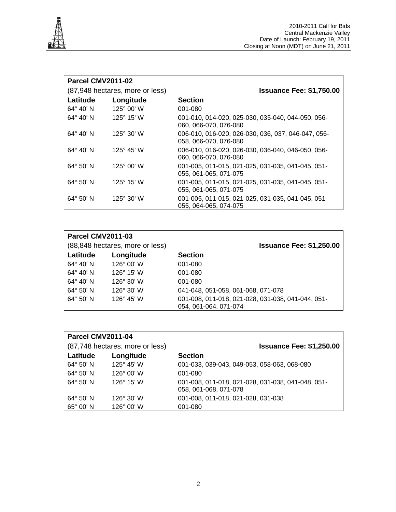

| Parcel CMV2011-02  |                                 |                                                                             |  |  |
|--------------------|---------------------------------|-----------------------------------------------------------------------------|--|--|
|                    | (87,948 hectares, more or less) | <b>Issuance Fee: \$1,750.00</b>                                             |  |  |
| Latitude           | Longitude                       | <b>Section</b>                                                              |  |  |
| $64^{\circ} 40' N$ | $125^{\circ}$ 00' W             | 001-080                                                                     |  |  |
| $64^{\circ}$ 40' N | $125^{\circ}$ 15' W             | 001-010, 014-020, 025-030, 035-040, 044-050, 056-<br>060, 066-070, 076-080  |  |  |
| $64^{\circ}$ 40' N | $125^{\circ}$ 30' W             | 006-010, 016-020, 026-030, 036, 037, 046-047, 056-<br>058, 066-070, 076-080 |  |  |
| $64^{\circ}$ 40' N | 125° 45' W                      | 006-010, 016-020, 026-030, 036-040, 046-050, 056-<br>060, 066-070, 076-080  |  |  |
| $64^{\circ}$ 50' N | 125 $^{\circ}$ 00' W            | 001-005, 011-015, 021-025, 031-035, 041-045, 051-<br>055, 061-065, 071-075  |  |  |
| $64^{\circ} 50' N$ | $125^{\circ}$ 15' W             | 001-005, 011-015, 021-025, 031-035, 041-045, 051-<br>055, 061-065, 071-075  |  |  |
| $64^{\circ}$ 50' N | $125^{\circ}$ 30' W             | 001-005, 011-015, 021-025, 031-035, 041-045, 051-<br>055, 064-065, 074-075  |  |  |

|                    | <b>Parcel CMV2011-03</b>                                           |                                                                            |  |  |
|--------------------|--------------------------------------------------------------------|----------------------------------------------------------------------------|--|--|
|                    | (88,848 hectares, more or less)<br><b>Issuance Fee: \$1,250.00</b> |                                                                            |  |  |
| Latitude           | Longitude                                                          | <b>Section</b>                                                             |  |  |
| $64^{\circ}$ 40' N | $126^{\circ}$ 00' W                                                | 001-080                                                                    |  |  |
| $64^{\circ} 40' N$ | $126^{\circ}$ 15' W                                                | 001-080                                                                    |  |  |
| $64^{\circ} 40' N$ | $126^{\circ}$ 30' W                                                | 001-080                                                                    |  |  |
| 64° 50' N          | $126^{\circ}$ 30' W                                                | 041-048, 051-058, 061-068, 071-078                                         |  |  |
| $64^{\circ}$ 50' N | $126^{\circ}$ 45' W                                                | 001-008, 011-018, 021-028, 031-038, 041-044, 051-<br>054, 061-064, 071-074 |  |  |

| Parcel CMV2011-04  |                                 |                                                                            |  |  |
|--------------------|---------------------------------|----------------------------------------------------------------------------|--|--|
|                    | (87,748 hectares, more or less) | <b>Issuance Fee: \$1,250.00</b>                                            |  |  |
| Latitude           | Longitude                       | <b>Section</b>                                                             |  |  |
| 64° 50' N          | $125^{\circ}$ 45' W             | 001-033, 039-043, 049-053, 058-063, 068-080                                |  |  |
| $64^{\circ}$ 50' N | $126^{\circ}$ 00' W             | 001-080                                                                    |  |  |
| 64° 50' N          | $126^{\circ}$ 15' W             | 001-008, 011-018, 021-028, 031-038, 041-048, 051-<br>058, 061-068, 071-078 |  |  |
| $64^{\circ}$ 50' N | $126^{\circ}$ 30' W             | 001-008, 011-018, 021-028, 031-038                                         |  |  |
| $65^{\circ}$ 00' N | $126^{\circ}$ 00' W             | 001-080                                                                    |  |  |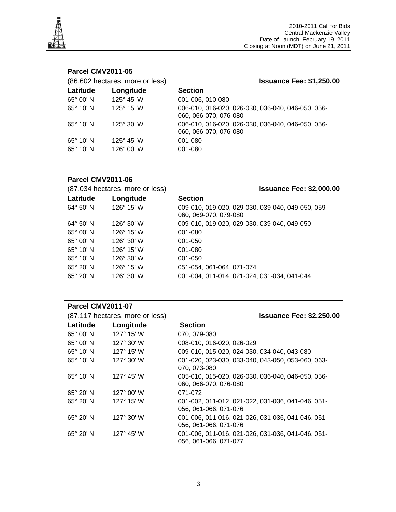

| <b>Parcel CMV2011-05</b> |                                 |                                                                            |  |  |
|--------------------------|---------------------------------|----------------------------------------------------------------------------|--|--|
|                          | (86,602 hectares, more or less) | <b>Issuance Fee: \$1,250.00</b>                                            |  |  |
| Latitude                 | Longitude                       | <b>Section</b>                                                             |  |  |
| $65^\circ 00'$ N         | $125^{\circ}$ 45' W             | 001-006, 010-080                                                           |  |  |
| $65^\circ 10'$ N         | 125° 15' W                      | 006-010, 016-020, 026-030, 036-040, 046-050, 056-<br>060, 066-070, 076-080 |  |  |
| $65^\circ 10'$ N         | $125^{\circ}$ 30' W             | 006-010, 016-020, 026-030, 036-040, 046-050, 056-<br>060, 066-070, 076-080 |  |  |
| $65^\circ$ 10' N         | 125 $^{\circ}$ 45' W            | 001-080                                                                    |  |  |
| $65^\circ$ 10' N         | $126^{\circ}$ 00' W             | 001-080                                                                    |  |  |

| Parcel CMV2011-06  |                                 |                                                                            |  |  |
|--------------------|---------------------------------|----------------------------------------------------------------------------|--|--|
|                    | (87,034 hectares, more or less) | <b>Issuance Fee: \$2,000.00</b>                                            |  |  |
| Latitude           | Longitude                       | <b>Section</b>                                                             |  |  |
| $64^{\circ} 50' N$ | $126^{\circ}$ 15' W             | 009-010, 019-020, 029-030, 039-040, 049-050, 059-<br>060, 069-070, 079-080 |  |  |
| $64^{\circ}$ 50' N | $126^{\circ}$ 30' W             | 009-010, 019-020, 029-030, 039-040, 049-050                                |  |  |
| $65^\circ$ 00' N   | $126^{\circ}$ 15' W             | 001-080                                                                    |  |  |
| $65^\circ$ 00' N   | $126^{\circ}$ 30' W             | 001-050                                                                    |  |  |
| $65^\circ 10'$ N   | 126° 15' W                      | 001-080                                                                    |  |  |
| $65^\circ 10'$ N   | 126 $^{\circ}$ 30' W            | 001-050                                                                    |  |  |
| $65^{\circ}$ 20' N | 126° 15' W                      | 051-054, 061-064, 071-074                                                  |  |  |
| $65^\circ 20'$ N   | $126^{\circ}$ 30' W             | 001-004, 011-014, 021-024, 031-034, 041-044                                |  |  |

| Parcel CMV2011-07  |                                 |                                                                            |  |  |
|--------------------|---------------------------------|----------------------------------------------------------------------------|--|--|
|                    | (87,117 hectares, more or less) | <b>Issuance Fee: \$2,250.00</b>                                            |  |  |
| Latitude           | Longitude                       | <b>Section</b>                                                             |  |  |
| $65^\circ 00'$ N   | 127° 15' W                      | 070, 079-080                                                               |  |  |
| $65^\circ$ 00' N   | 127 $^{\circ}$ 30' W            | 008-010, 016-020, 026-029                                                  |  |  |
| $65^\circ$ 10' N   | $127^{\circ}$ 15' W             | 009-010, 015-020, 024-030, 034-040, 043-080                                |  |  |
| $65^\circ$ 10' N   | $127^{\circ}$ 30' W             | 001-020, 023-030, 033-040, 043-050, 053-060, 063-<br>070, 073-080          |  |  |
| $65^\circ$ 10' N   | $127^{\circ}$ 45' W             | 005-010, 015-020, 026-030, 036-040, 046-050, 056-<br>060, 066-070, 076-080 |  |  |
| $65^{\circ}$ 20' N | $127^{\circ}$ 00' W             | 071-072                                                                    |  |  |
| $65^\circ 20'$ N   | $127^{\circ}$ 15' W             | 001-002, 011-012, 021-022, 031-036, 041-046, 051-<br>056, 061-066, 071-076 |  |  |
| $65^\circ 20'$ N   | $127^{\circ}$ 30' W             | 001-006, 011-016, 021-026, 031-036, 041-046, 051-<br>056, 061-066, 071-076 |  |  |
| $65^\circ 20'$ N   | $127^{\circ}$ 45' W             | 001-006, 011-016, 021-026, 031-036, 041-046, 051-<br>056, 061-066, 071-077 |  |  |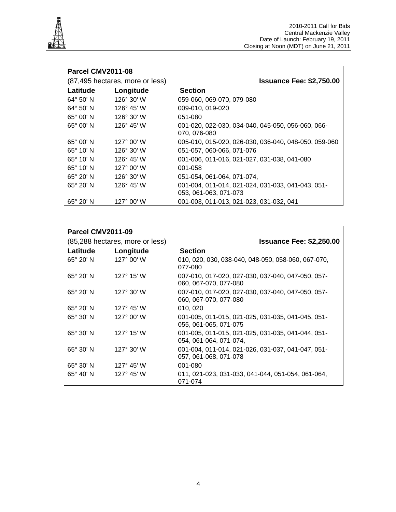

| Parcel CMV2011-08  |                                 |                                                                            |  |  |
|--------------------|---------------------------------|----------------------------------------------------------------------------|--|--|
|                    | (87,495 hectares, more or less) | <b>Issuance Fee: \$2,750.00</b>                                            |  |  |
| Latitude           | Longitude                       | <b>Section</b>                                                             |  |  |
| $64^{\circ}$ 50' N | $126^{\circ}$ 30' W             | 059-060, 069-070, 079-080                                                  |  |  |
| $64^{\circ} 50' N$ | $126^{\circ}$ 45' W             | 009-010, 019-020                                                           |  |  |
| $65^\circ 00'$ N   | $126^{\circ}$ 30' W             | 051-080                                                                    |  |  |
| $65^\circ$ 00' N   | $126^{\circ}$ 45' W             | 001-020, 022-030, 034-040, 045-050, 056-060, 066-<br>070, 076-080          |  |  |
| $65^\circ$ 00' N   | $127^{\circ}$ 00' W             | 005-010, 015-020, 026-030, 036-040, 048-050, 059-060                       |  |  |
| $65^\circ$ 10' N   | $126^{\circ}$ 30' W             | 051-057, 060-066, 071-076                                                  |  |  |
| $65^\circ$ 10' N   | $126^{\circ}$ 45' W             | 001-006, 011-016, 021-027, 031-038, 041-080                                |  |  |
| $65^\circ$ 10' N   | $127^{\circ}$ 00' W             | 001-058                                                                    |  |  |
| $65^\circ 20'$ N   | 126° 30' W                      | 051-054, 061-064, 071-074,                                                 |  |  |
| $65^\circ 20'$ N   | 126° 45' W                      | 001-004, 011-014, 021-024, 031-033, 041-043, 051-<br>053, 061-063, 071-073 |  |  |
| $65^\circ 20'$ N   | 127° 00' W                      | 001-003, 011-013, 021-023, 031-032, 041                                    |  |  |

|                    | Parcel CMV2011-09               |                                                                             |  |
|--------------------|---------------------------------|-----------------------------------------------------------------------------|--|
|                    | (85,288 hectares, more or less) | <b>Issuance Fee: \$2,250.00</b>                                             |  |
| Latitude           | Longitude                       | <b>Section</b>                                                              |  |
| $65^\circ 20'$ N   | $127^{\circ}$ 00' W             | 010, 020, 030, 038-040, 048-050, 058-060, 067-070,<br>077-080               |  |
| $65^\circ 20'$ N   | $127^{\circ}$ 15' W             | 007-010, 017-020, 027-030, 037-040, 047-050, 057-<br>060, 067-070, 077-080  |  |
| $65^\circ 20'$ N   | $127^{\circ}$ 30' W             | 007-010, 017-020, 027-030, 037-040, 047-050, 057-<br>060, 067-070, 077-080  |  |
| $65^\circ 20'$ N   | $127^{\circ}$ 45' W             | 010, 020                                                                    |  |
| 65° 30' N          | $127^{\circ}$ 00' W             | 001-005, 011-015, 021-025, 031-035, 041-045, 051-<br>055, 061-065, 071-075  |  |
| $65^{\circ}$ 30' N | $127^{\circ}$ 15' W             | 001-005, 011-015, 021-025, 031-035, 041-044, 051-<br>054, 061-064, 071-074, |  |
| $65^{\circ}$ 30' N | $127^{\circ}$ 30' W             | 001-004, 011-014, 021-026, 031-037, 041-047, 051-<br>057, 061-068, 071-078  |  |
| $65^\circ 30'$ N   | $127^{\circ}$ 45' W             | 001-080                                                                     |  |
| $65^\circ 40'$ N   | $127^{\circ}$ 45' W             | 011, 021-023, 031-033, 041-044, 051-054, 061-064,<br>071-074                |  |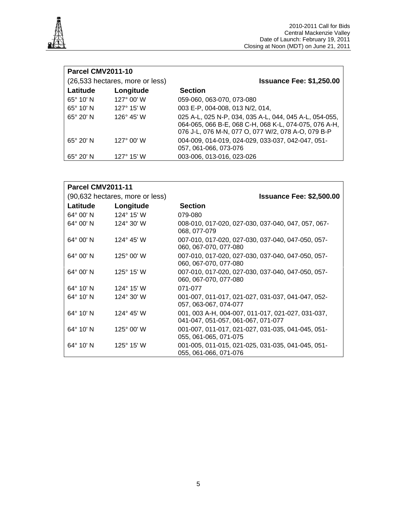

| Parcel CMV2011-10  |                                 |                                                                                                                                                                       |  |  |
|--------------------|---------------------------------|-----------------------------------------------------------------------------------------------------------------------------------------------------------------------|--|--|
|                    | (26,533 hectares, more or less) | <b>Issuance Fee: \$1,250.00</b>                                                                                                                                       |  |  |
| Latitude           | Longitude                       | <b>Section</b>                                                                                                                                                        |  |  |
| $65^\circ$ 10' N   | $127^{\circ}$ 00' W             | 059-060, 063-070, 073-080                                                                                                                                             |  |  |
| $65^\circ$ 10' N   | $127^{\circ}$ 15' W             | 003 E-P, 004-008, 013 N/2, 014,                                                                                                                                       |  |  |
| $65^\circ 20'$ N   | $126^{\circ}$ 45' W             | 025 A-L, 025 N-P, 034, 035 A-L, 044, 045 A-L, 054-055,<br>064-065, 066 B-E, 068 C-H, 068 K-L, 074-075, 076 A-H,<br>076 J-L, 076 M-N, 077 O, 077 W/2, 078 A-O, 079 B-P |  |  |
| $65^\circ 20'$ N   | $127^{\circ}$ 00' W             | 004-009, 014-019, 024-029, 033-037, 042-047, 051-<br>057, 061-066, 073-076                                                                                            |  |  |
| $65^{\circ}$ 20' N | $127^{\circ}$ 15' W             | 003-006, 013-016, 023-026                                                                                                                                             |  |  |

|                    | <b>Parcel CMV2011-11</b>        |                                                                                         |  |  |
|--------------------|---------------------------------|-----------------------------------------------------------------------------------------|--|--|
|                    | (90,632 hectares, more or less) | <b>Issuance Fee: \$2,500.00</b>                                                         |  |  |
| Latitude           | Longitude                       | <b>Section</b>                                                                          |  |  |
| $64^{\circ}$ 00' N | $124^{\circ}$ 15' W             | 079-080                                                                                 |  |  |
| 64° 00' N          | $124^{\circ}$ 30' W             | 008-010, 017-020, 027-030, 037-040, 047, 057, 067-<br>068, 077-079                      |  |  |
| $64^{\circ}$ 00' N | 124° 45' W                      | 007-010, 017-020, 027-030, 037-040, 047-050, 057-<br>060, 067-070, 077-080              |  |  |
| $64^{\circ}$ 00' N | $125^{\circ}$ 00' W             | 007-010, 017-020, 027-030, 037-040, 047-050, 057-<br>060, 067-070, 077-080              |  |  |
| 64° 00' N          | $125^{\circ}$ 15' W             | 007-010, 017-020, 027-030, 037-040, 047-050, 057-<br>060, 067-070, 077-080              |  |  |
| $64^{\circ}$ 10' N | 124 $^{\circ}$ 15' W            | 071-077                                                                                 |  |  |
| $64^{\circ}$ 10' N | $124^{\circ}$ 30' W             | 001-007, 011-017, 021-027, 031-037, 041-047, 052-<br>057, 063-067, 074-077              |  |  |
| 64° 10' N          | $124^{\circ}$ 45' W             | 001, 003 A-H, 004-007, 011-017, 021-027, 031-037,<br>041-047, 051-057, 061-067, 071-077 |  |  |
| $64^{\circ}$ 10' N | $125^{\circ}$ 00' W             | 001-007, 011-017, 021-027, 031-035, 041-045, 051-<br>055, 061-065, 071-075              |  |  |
| 64° 10' N          | $125^{\circ}$ 15' W             | 001-005, 011-015, 021-025, 031-035, 041-045, 051-<br>055, 061-066, 071-076              |  |  |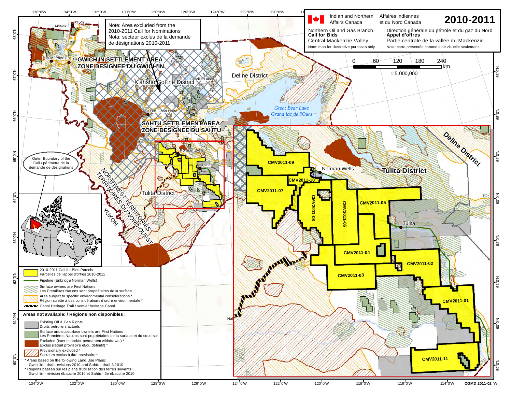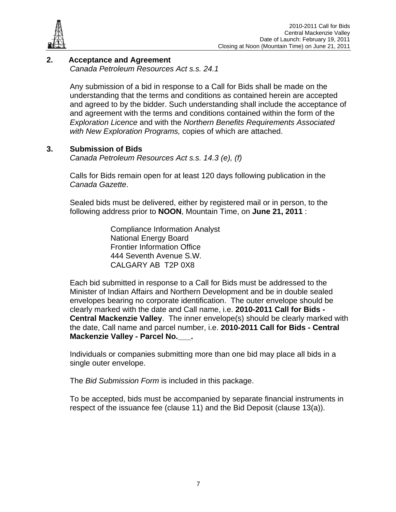

# **2. Acceptance and Agreement**

 *Canada Petroleum Resources Act s.s. 24.1* 

Any submission of a bid in response to a Call for Bids shall be made on the understanding that the terms and conditions as contained herein are accepted and agreed to by the bidder. Such understanding shall include the acceptance of and agreement with the terms and conditions contained within the form of the *Exploration Licence* and with the *Northern Benefits Requirements Associated with New Exploration Programs,* copies of which are attached.

# **3. Submission of Bids**

*Canada Petroleum Resources Act s.s. 14.3 (e), (f)*

Calls for Bids remain open for at least 120 days following publication in the *Canada Gazette*.

Sealed bids must be delivered, either by registered mail or in person, to the following address prior to **NOON**, Mountain Time, on **June 21, 2011** :

> Compliance Information Analyst National Energy Board Frontier Information Office 444 Seventh Avenue S.W. CALGARY AB T2P 0X8

Each bid submitted in response to a Call for Bids must be addressed to the Minister of Indian Affairs and Northern Development and be in double sealed envelopes bearing no corporate identification. The outer envelope should be clearly marked with the date and Call name, i.e. **2010-2011 Call for Bids - Central Mackenzie Valley**. The inner envelope(s) should be clearly marked with the date, Call name and parcel number, i.e. **2010-2011 Call for Bids - Central Mackenzie Valley - Parcel No.\_\_\_.**

Individuals or companies submitting more than one bid may place all bids in a single outer envelope.

The *Bid Submission Form* is included in this package.

To be accepted, bids must be accompanied by separate financial instruments in respect of the issuance fee (clause 11) and the Bid Deposit (clause 13(a)).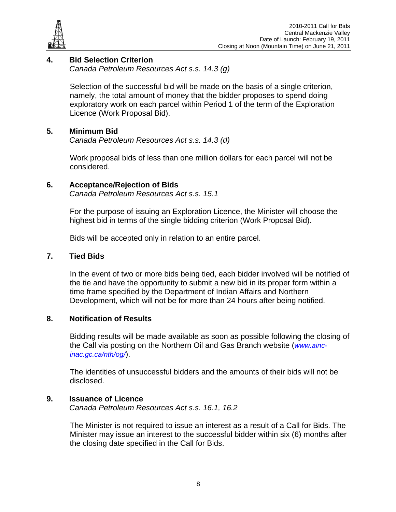

# **4. Bid Selection Criterion**

*Canada Petroleum Resources Act s.s. 14.3 (g)* 

Selection of the successful bid will be made on the basis of a single criterion, namely, the total amount of money that the bidder proposes to spend doing exploratory work on each parcel within Period 1 of the term of the Exploration Licence (Work Proposal Bid).

# **5. Minimum Bid**

*Canada Petroleum Resources Act s.s. 14.3 (d)*

Work proposal bids of less than one million dollars for each parcel will not be considered.

# **6. Acceptance/Rejection of Bids**

*Canada Petroleum Resources Act s.s. 15.1*

For the purpose of issuing an Exploration Licence, the Minister will choose the highest bid in terms of the single bidding criterion (Work Proposal Bid).

Bids will be accepted only in relation to an entire parcel.

# **7. Tied Bids**

In the event of two or more bids being tied, each bidder involved will be notified of the tie and have the opportunity to submit a new bid in its proper form within a time frame specified by the Department of Indian Affairs and Northern Development, which will not be for more than 24 hours after being notified.

# **8. Notification of Results**

Bidding results will be made available as soon as possible following the closing of the Call via posting on the Northern Oil and Gas Branch website (*www.aincinac.gc.ca/nth/og/*).

The identities of unsuccessful bidders and the amounts of their bids will not be disclosed.

# **9. Issuance of Licence**

*Canada Petroleum Resources Act s.s. 16.1, 16.2*

The Minister is not required to issue an interest as a result of a Call for Bids. The Minister may issue an interest to the successful bidder within six (6) months after the closing date specified in the Call for Bids.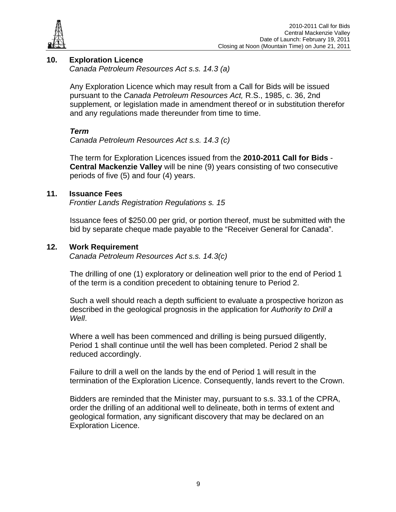

# **10. Exploration Licence**

*Canada Petroleum Resources Act s.s. 14.3 (a)* 

Any Exploration Licence which may result from a Call for Bids will be issued pursuant to the *Canada Petroleum Resources Act,* R.S., 1985, c. 36, 2nd supplement*,* or legislation made in amendment thereof or in substitution therefor and any regulations made thereunder from time to time.

# *Term*

*Canada Petroleum Resources Act s.s. 14.3 (c)* 

The term for Exploration Licences issued from the **2010-2011 Call for Bids** - **Central Mackenzie Valley** will be nine (9) years consisting of two consecutive periods of five (5) and four (4) years.

#### **11. Issuance Fees**

*Frontier Lands Registration Regulations s. 15*

Issuance fees of \$250.00 per grid, or portion thereof, must be submitted with the bid by separate cheque made payable to the "Receiver General for Canada".

#### **12. Work Requirement**

*Canada Petroleum Resources Act s.s. 14.3(c)* 

The drilling of one (1) exploratory or delineation well prior to the end of Period 1 of the term is a condition precedent to obtaining tenure to Period 2.

Such a well should reach a depth sufficient to evaluate a prospective horizon as described in the geological prognosis in the application for *Authority to Drill a Well*.

Where a well has been commenced and drilling is being pursued diligently, Period 1 shall continue until the well has been completed. Period 2 shall be reduced accordingly.

Failure to drill a well on the lands by the end of Period 1 will result in the termination of the Exploration Licence. Consequently, lands revert to the Crown.

Bidders are reminded that the Minister may, pursuant to s.s. 33.1 of the CPRA, order the drilling of an additional well to delineate, both in terms of extent and geological formation, any significant discovery that may be declared on an Exploration Licence.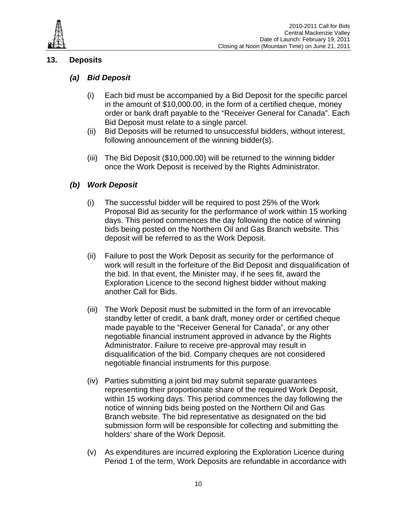

# **13. Deposits**

# *(a) Bid Deposit*

- (i) Each bid must be accompanied by a Bid Deposit for the specific parcel in the amount of \$10,000.00, in the form of a certified cheque, money order or bank draft payable to the "Receiver General for Canada". Each Bid Deposit must relate to a single parcel.
- (ii) Bid Deposits will be returned to unsuccessful bidders, without interest, following announcement of the winning bidder(s).
- (iii) The Bid Deposit (\$10,000.00) will be returned to the winning bidder once the Work Deposit is received by the Rights Administrator.

# *(b) Work Deposit*

- (i) The successful bidder will be required to post 25% of the Work Proposal Bid as security for the performance of work within 15 working days. This period commences the day following the notice of winning bids being posted on the Northern Oil and Gas Branch website. This deposit will be referred to as the Work Deposit.
- (ii) Failure to post the Work Deposit as security for the performance of work will result in the forfeiture of the Bid Deposit and disqualification of the bid. In that event, the Minister may, if he sees fit, award the Exploration Licence to the second highest bidder without making another Call for Bids.
- (iii) The Work Deposit must be submitted in the form of an irrevocable standby letter of credit, a bank draft, money order or certified cheque made payable to the "Receiver General for Canada", or any other negotiable financial instrument approved in advance by the Rights Administrator. Failure to receive pre-approval may result in disqualification of the bid. Company cheques are not considered negotiable financial instruments for this purpose.
- (iv) Parties submitting a joint bid may submit separate guarantees representing their proportionate share of the required Work Deposit, within 15 working days. This period commences the day following the notice of winning bids being posted on the Northern Oil and Gas Branch website. The bid representative as designated on the bid submission form will be responsible for collecting and submitting the holders' share of the Work Deposit.
- (v) As expenditures are incurred exploring the Exploration Licence during Period 1 of the term, Work Deposits are refundable in accordance with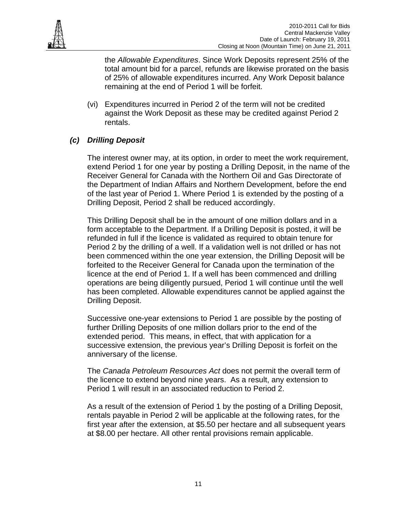

the *Allowable Expenditures*. Since Work Deposits represent 25% of the total amount bid for a parcel, refunds are likewise prorated on the basis of 25% of allowable expenditures incurred. Any Work Deposit balance remaining at the end of Period 1 will be forfeit.

(vi) Expenditures incurred in Period 2 of the term will not be credited against the Work Deposit as these may be credited against Period 2 rentals.

# *(c) Drilling Deposit*

The interest owner may, at its option, in order to meet the work requirement, extend Period 1 for one year by posting a Drilling Deposit, in the name of the Receiver General for Canada with the Northern Oil and Gas Directorate of the Department of Indian Affairs and Northern Development, before the end of the last year of Period 1. Where Period 1 is extended by the posting of a Drilling Deposit, Period 2 shall be reduced accordingly.

This Drilling Deposit shall be in the amount of one million dollars and in a form acceptable to the Department. If a Drilling Deposit is posted, it will be refunded in full if the licence is validated as required to obtain tenure for Period 2 by the drilling of a well. If a validation well is not drilled or has not been commenced within the one year extension, the Drilling Deposit will be forfeited to the Receiver General for Canada upon the termination of the licence at the end of Period 1. If a well has been commenced and drilling operations are being diligently pursued, Period 1 will continue until the well has been completed. Allowable expenditures cannot be applied against the Drilling Deposit.

Successive one-year extensions to Period 1 are possible by the posting of further Drilling Deposits of one million dollars prior to the end of the extended period. This means, in effect, that with application for a successive extension, the previous year's Drilling Deposit is forfeit on the anniversary of the license.

The *Canada Petroleum Resources Act* does not permit the overall term of the licence to extend beyond nine years. As a result, any extension to Period 1 will result in an associated reduction to Period 2.

As a result of the extension of Period 1 by the posting of a Drilling Deposit, rentals payable in Period 2 will be applicable at the following rates, for the first year after the extension, at \$5.50 per hectare and all subsequent years at \$8.00 per hectare. All other rental provisions remain applicable.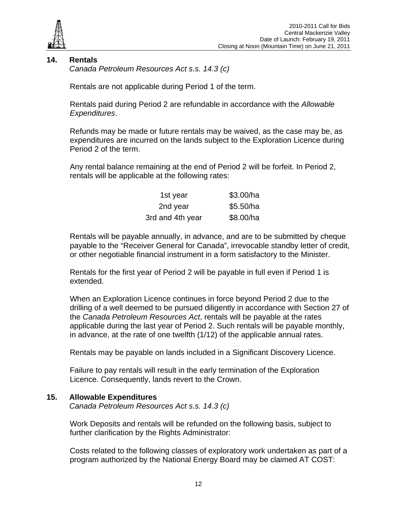

# **14. Rentals**

*Canada Petroleum Resources Act s.s. 14.3 (c)* 

Rentals are not applicable during Period 1 of the term.

Rentals paid during Period 2 are refundable in accordance with the *Allowable Expenditures*.

Refunds may be made or future rentals may be waived, as the case may be, as expenditures are incurred on the lands subject to the Exploration Licence during Period 2 of the term.

Any rental balance remaining at the end of Period 2 will be forfeit. In Period 2, rentals will be applicable at the following rates:

| 1st year         | \$3.00/ha |
|------------------|-----------|
| 2nd year         | \$5.50/ha |
| 3rd and 4th year | \$8.00/ha |

Rentals will be payable annually, in advance, and are to be submitted by cheque payable to the "Receiver General for Canada", irrevocable standby letter of credit, or other negotiable financial instrument in a form satisfactory to the Minister.

Rentals for the first year of Period 2 will be payable in full even if Period 1 is extended.

When an Exploration Licence continues in force beyond Period 2 due to the drilling of a well deemed to be pursued diligently in accordance with Section 27 of the *Canada Petroleum Resources Act*, rentals will be payable at the rates applicable during the last year of Period 2. Such rentals will be payable monthly, in advance, at the rate of one twelfth (1/12) of the applicable annual rates.

Rentals may be payable on lands included in a Significant Discovery Licence.

Failure to pay rentals will result in the early termination of the Exploration Licence. Consequently, lands revert to the Crown.

#### **15. Allowable Expenditures**

*Canada Petroleum Resources Act s.s. 14.3 (c)*

Work Deposits and rentals will be refunded on the following basis, subject to further clarification by the Rights Administrator:

Costs related to the following classes of exploratory work undertaken as part of a program authorized by the National Energy Board may be claimed AT COST: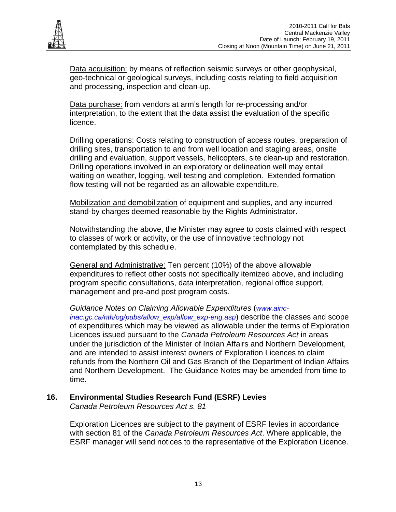

Data acquisition: by means of reflection seismic surveys or other geophysical, geo-technical or geological surveys, including costs relating to field acquisition and processing, inspection and clean-up.

Data purchase: from vendors at arm's length for re-processing and/or interpretation, to the extent that the data assist the evaluation of the specific licence.

Drilling operations: Costs relating to construction of access routes, preparation of drilling sites, transportation to and from well location and staging areas, onsite drilling and evaluation, support vessels, helicopters, site clean-up and restoration. Drilling operations involved in an exploratory or delineation well may entail waiting on weather, logging, well testing and completion. Extended formation flow testing will not be regarded as an allowable expenditure.

Mobilization and demobilization of equipment and supplies, and any incurred stand-by charges deemed reasonable by the Rights Administrator.

Notwithstanding the above, the Minister may agree to costs claimed with respect to classes of work or activity, or the use of innovative technology not contemplated by this schedule.

General and Administrative: Ten percent (10%) of the above allowable expenditures to reflect other costs not specifically itemized above, and including program specific consultations, data interpretation, regional office support, management and pre-and post program costs.

*Guidance Notes on Claiming Allowable Expenditures* (*www.ainc-*

*inac.gc.ca/nth/og/pubs/allow\_exp/allow\_exp-eng.asp*) describe the classes and scope of expenditures which may be viewed as allowable under the terms of Exploration Licences issued pursuant to the *Canada Petroleum Resources Act* in areas under the jurisdiction of the Minister of Indian Affairs and Northern Development, and are intended to assist interest owners of Exploration Licences to claim refunds from the Northern Oil and Gas Branch of the Department of Indian Affairs and Northern Development. The Guidance Notes may be amended from time to time.

# **16. Environmental Studies Research Fund (ESRF) Levies**

*Canada Petroleum Resources Act s. 81* 

Exploration Licences are subject to the payment of ESRF levies in accordance with section 81 of the *Canada Petroleum Resources Act*. Where applicable, the ESRF manager will send notices to the representative of the Exploration Licence.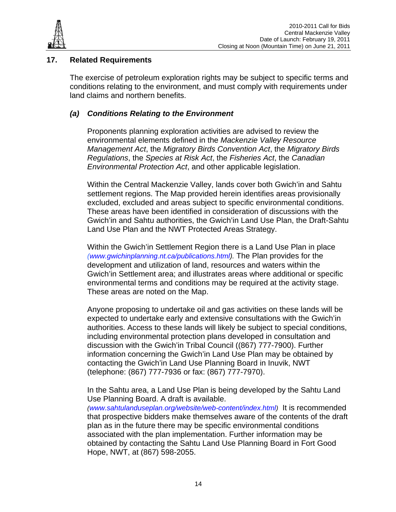

# **17. Related Requirements**

The exercise of petroleum exploration rights may be subject to specific terms and conditions relating to the environment, and must comply with requirements under land claims and northern benefits.

# *(a) Conditions Relating to the Environment*

Proponents planning exploration activities are advised to review the environmental elements defined in the *Mackenzie Valley Resource Management Act*, the *Migratory Birds Convention Act*, the *Migratory Birds Regulations*, the *Species at Risk Act*, the *Fisheries Act*, the *Canadian Environmental Protection Act*, and other applicable legislation.

Within the Central Mackenzie Valley, lands cover both Gwich'in and Sahtu settlement regions. The Map provided herein identifies areas provisionally excluded, excluded and areas subject to specific environmental conditions. These areas have been identified in consideration of discussions with the Gwich'in and Sahtu authorities, the Gwich'in Land Use Plan, the Draft-Sahtu Land Use Plan and the NWT Protected Areas Strategy.

Within the Gwich'in Settlement Region there is a Land Use Plan in place *(www.gwichinplanning.nt.ca/publications.html).* The Plan provides for the development and utilization of land, resources and waters within the Gwich'in Settlement area; and illustrates areas where additional or specific environmental terms and conditions may be required at the activity stage. These areas are noted on the Map.

Anyone proposing to undertake oil and gas activities on these lands will be expected to undertake early and extensive consultations with the Gwich'in authorities. Access to these lands will likely be subject to special conditions, including environmental protection plans developed in consultation and discussion with the Gwich'in Tribal Council ((867) 777-7900). Further information concerning the Gwich'in Land Use Plan may be obtained by contacting the Gwich'in Land Use Planning Board in Inuvik, NWT (telephone: (867) 777-7936 or fax: (867) 777-7970).

In the Sahtu area, a Land Use Plan is being developed by the Sahtu Land Use Planning Board. A draft is available.

*(www.sahtulanduseplan.org/website/web-content/index.html)* It is recommended that prospective bidders make themselves aware of the contents of the draft plan as in the future there may be specific environmental conditions associated with the plan implementation. Further information may be obtained by contacting the Sahtu Land Use Planning Board in Fort Good Hope, NWT, at (867) 598-2055.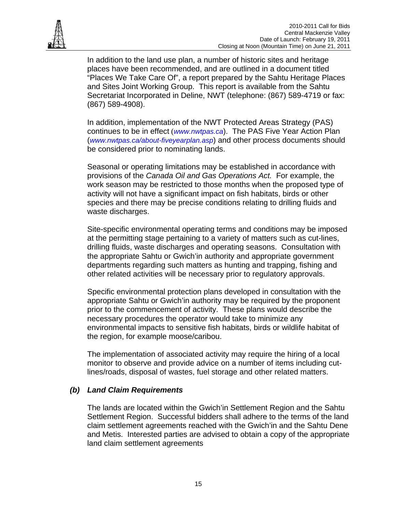

In addition to the land use plan, a number of historic sites and heritage places have been recommended, and are outlined in a document titled "Places We Take Care Of", a report prepared by the Sahtu Heritage Places and Sites Joint Working Group. This report is available from the Sahtu Secretariat Incorporated in Deline, NWT (telephone: (867) 589-4719 or fax: (867) 589-4908).

In addition, implementation of the NWT Protected Areas Strategy (PAS) continues to be in effect (*www.nwtpas.ca*). The PAS Five Year Action Plan (*www.nwtpas.ca/about-fiveyearplan.asp*) and other process documents should be considered prior to nominating lands.

Seasonal or operating limitations may be established in accordance with provisions of the *Canada Oil and Gas Operations Act.* For example, the work season may be restricted to those months when the proposed type of activity will not have a significant impact on fish habitats, birds or other species and there may be precise conditions relating to drilling fluids and waste discharges.

Site-specific environmental operating terms and conditions may be imposed at the permitting stage pertaining to a variety of matters such as cut-lines, drilling fluids, waste discharges and operating seasons. Consultation with the appropriate Sahtu or Gwich'in authority and appropriate government departments regarding such matters as hunting and trapping, fishing and other related activities will be necessary prior to regulatory approvals.

Specific environmental protection plans developed in consultation with the appropriate Sahtu or Gwich'in authority may be required by the proponent prior to the commencement of activity. These plans would describe the necessary procedures the operator would take to minimize any environmental impacts to sensitive fish habitats, birds or wildlife habitat of the region, for example moose/caribou.

The implementation of associated activity may require the hiring of a local monitor to observe and provide advice on a number of items including cutlines/roads, disposal of wastes, fuel storage and other related matters.

# *(b) Land Claim Requirements*

The lands are located within the Gwich'in Settlement Region and the Sahtu Settlement Region. Successful bidders shall adhere to the terms of the land claim settlement agreements reached with the Gwich'in and the Sahtu Dene and Metis. Interested parties are advised to obtain a copy of the appropriate land claim settlement agreements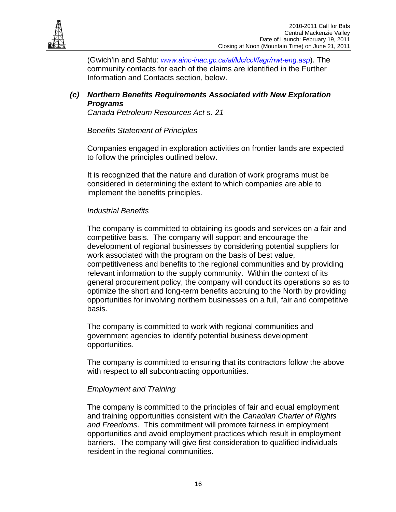

(Gwich'in and Sahtu: *www.ainc-inac.gc.ca/al/ldc/ccl/fagr/nwt-eng.asp*). The community contacts for each of the claims are identified in the Further Information and Contacts section, below.

# *(c) Northern Benefits Requirements Associated with New Exploration Programs*

*Canada Petroleum Resources Act s. 21* 

# *Benefits Statement of Principles*

Companies engaged in exploration activities on frontier lands are expected to follow the principles outlined below.

It is recognized that the nature and duration of work programs must be considered in determining the extent to which companies are able to implement the benefits principles.

# *Industrial Benefits*

The company is committed to obtaining its goods and services on a fair and competitive basis. The company will support and encourage the development of regional businesses by considering potential suppliers for work associated with the program on the basis of best value, competitiveness and benefits to the regional communities and by providing relevant information to the supply community. Within the context of its general procurement policy, the company will conduct its operations so as to optimize the short and long-term benefits accruing to the North by providing opportunities for involving northern businesses on a full, fair and competitive basis.

The company is committed to work with regional communities and government agencies to identify potential business development opportunities.

The company is committed to ensuring that its contractors follow the above with respect to all subcontracting opportunities.

# *Employment and Training*

The company is committed to the principles of fair and equal employment and training opportunities consistent with the *Canadian Charter of Rights and Freedoms*. This commitment will promote fairness in employment opportunities and avoid employment practices which result in employment barriers. The company will give first consideration to qualified individuals resident in the regional communities.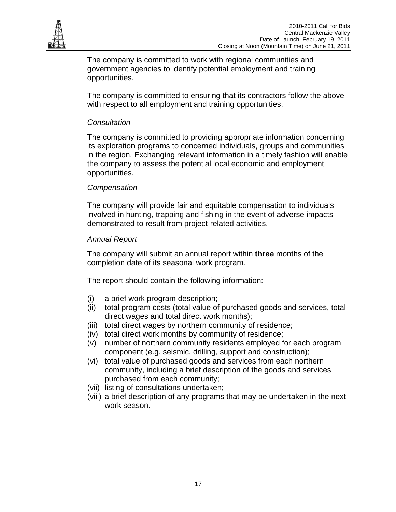

The company is committed to work with regional communities and government agencies to identify potential employment and training opportunities.

The company is committed to ensuring that its contractors follow the above with respect to all employment and training opportunities.

# *Consultation*

The company is committed to providing appropriate information concerning its exploration programs to concerned individuals, groups and communities in the region. Exchanging relevant information in a timely fashion will enable the company to assess the potential local economic and employment opportunities.

# *Compensation*

The company will provide fair and equitable compensation to individuals involved in hunting, trapping and fishing in the event of adverse impacts demonstrated to result from project-related activities.

# *Annual Report*

The company will submit an annual report within **three** months of the completion date of its seasonal work program.

The report should contain the following information:

- (i) a brief work program description;
- (ii) total program costs (total value of purchased goods and services, total direct wages and total direct work months);
- (iii) total direct wages by northern community of residence;
- (iv) total direct work months by community of residence;
- (v) number of northern community residents employed for each program component (e.g. seismic, drilling, support and construction);
- (vi) total value of purchased goods and services from each northern community, including a brief description of the goods and services purchased from each community;
- (vii) listing of consultations undertaken;
- (viii) a brief description of any programs that may be undertaken in the next work season.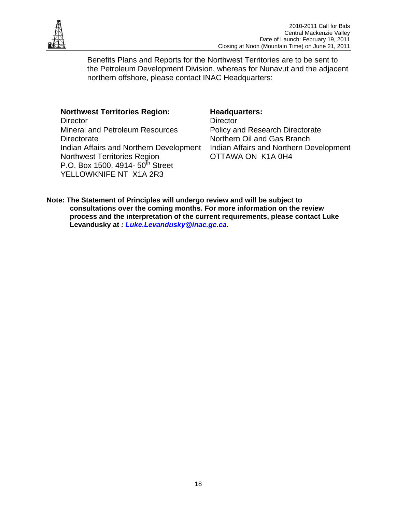

Benefits Plans and Reports for the Northwest Territories are to be sent to the Petroleum Development Division, whereas for Nunavut and the adjacent northern offshore, please contact INAC Headquarters:

#### **Northwest Territories Region:**

**Director** Mineral and Petroleum Resources **Directorate** Indian Affairs and Northern Development Northwest Territories Region P.O. Box 1500, 4914-  $50^{th}$  Street YELLOWKNIFE NT X1A 2R3

#### **Headquarters:**

**Director** Policy and Research Directorate Northern Oil and Gas Branch Indian Affairs and Northern Development OTTAWA ON K1A 0H4

**Note: The Statement of Principles will undergo review and will be subject to consultations over the coming months. For more information on the review process and the interpretation of the current requirements, please contact Luke Levandusky at** *: Luke.Levandusky@inac.gc.ca***.**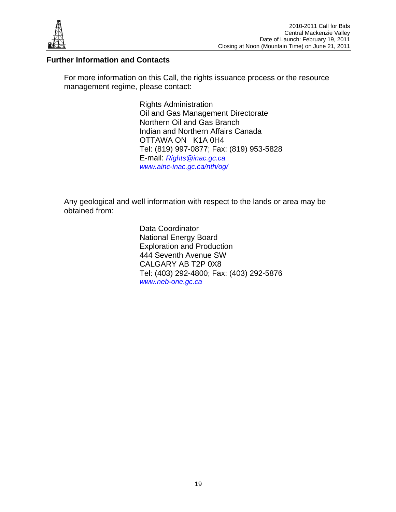

# **Further Information and Contacts**

For more information on this Call, the rights issuance process or the resource management regime, please contact:

> Rights Administration Oil and Gas Management Directorate Northern Oil and Gas Branch Indian and Northern Affairs Canada OTTAWA ON K1A 0H4 Tel: (819) 997-0877; Fax: (819) 953-5828 E-mail: *Rights@inac.gc.ca www.ainc-inac.gc.ca/nth/og/*

Any geological and well information with respect to the lands or area may be obtained from:

> Data Coordinator National Energy Board Exploration and Production 444 Seventh Avenue SW CALGARY AB T2P 0X8 Tel: (403) 292-4800; Fax: (403) 292-5876 *www.neb-one.gc.ca*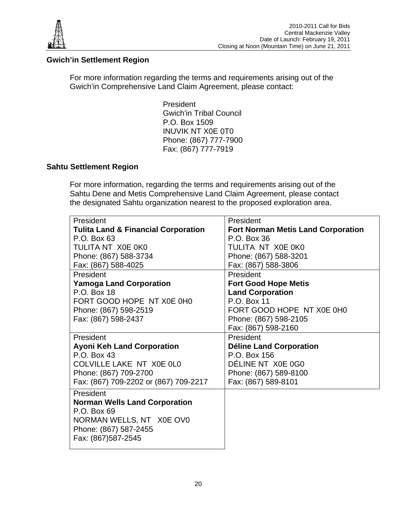

# **Gwich'in Settlement Region**

For more information regarding the terms and requirements arising out of the Gwich'in Comprehensive Land Claim Agreement, please contact:

> **President** Gwich'in Tribal Council P.O. Box 1509 INUVIK NT X0E 0T0 Phone: (867) 777-7900 Fax: (867) 777-7919

# **Sahtu Settlement Region**

For more information, regarding the terms and requirements arising out of the Sahtu Dene and Metis Comprehensive Land Claim Agreement, please contact the designated Sahtu organization nearest to the proposed exploration area.

| President                                      | President                                 |
|------------------------------------------------|-------------------------------------------|
| <b>Tulita Land &amp; Financial Corporation</b> | <b>Fort Norman Metis Land Corporation</b> |
| P.O. Box 63                                    | P.O. Box 36                               |
| TULITA NT X0E 0K0                              | TULITA NT X0E 0K0                         |
| Phone: (867) 588-3734                          | Phone: (867) 588-3201                     |
| Fax: (867) 588-4025                            | Fax: (867) 588-3806                       |
| President                                      | President                                 |
| <b>Yamoga Land Corporation</b>                 | <b>Fort Good Hope Metis</b>               |
| P.O. Box 18                                    | <b>Land Corporation</b>                   |
| FORT GOOD HOPE NT X0E 0H0                      | P.O. Box 11                               |
| Phone: (867) 598-2519                          | FORT GOOD HOPE NT X0E 0H0                 |
| Fax: (867) 598-2437                            | Phone: (867) 598-2105                     |
|                                                | Fax: (867) 598-2160                       |
| <b>President</b>                               | President                                 |
| <b>Ayoni Keh Land Corporation</b>              | <b>Déline Land Corporation</b>            |
| P.O. Box 43                                    | P.O. Box 156                              |
| COLVILLE LAKE NT X0E 0L0                       | DÉLINE NT X0E 0G0                         |
| Phone: (867) 709-2700                          | Phone: (867) 589-8100                     |
| Fax: (867) 709-2202 or (867) 709-2217          | Fax: (867) 589-8101                       |
| President                                      |                                           |
| <b>Norman Wells Land Corporation</b>           |                                           |
| P.O. Box 69                                    |                                           |
| NORMAN WELLS, NT X0E OV0                       |                                           |
| Phone: (867) 587-2455                          |                                           |
| Fax: (867)587-2545                             |                                           |
|                                                |                                           |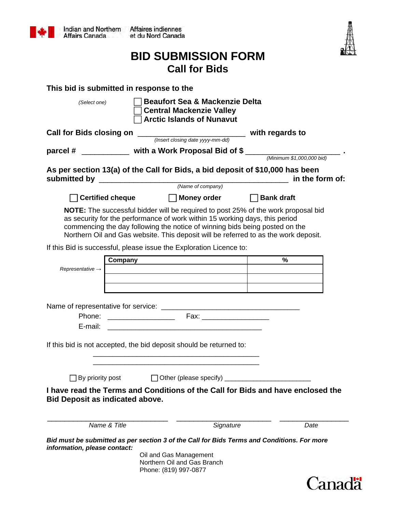

| Canadä |  |
|--------|--|
|        |  |
|        |  |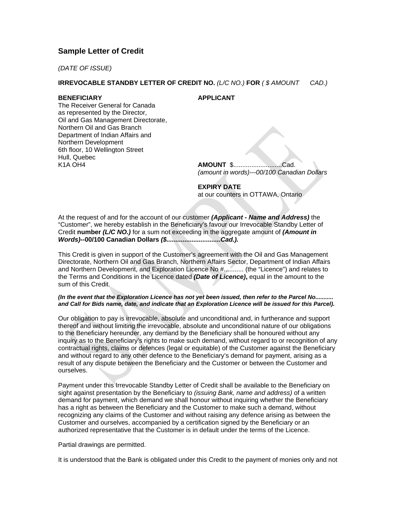#### **Sample Letter of Credit**

*(DATE OF ISSUE)*

#### **IRREVOCABLE STANDBY LETTER OF CREDIT NO.** *(L/C NO.)* **FOR** *( \$ AMOUNT CAD.)*

#### **BENEFICIARY APPLICANT**

The Receiver General for Canada as represented by the Director, Oil and Gas Management Directorate, Northern Oil and Gas Branch Department of Indian Affairs and Northern Development 6th floor, 10 Wellington Street Hull, Quebec K1A OH4 **AMOUNT** \$...........................Cad.

*(amount in words)---00/100 Canadian Dollars*

# **EXPIRY DATE**

at our counters in OTTAWA, Ontario

At the request of and for the account of our customer *(Applicant - Name and Address)* the "Customer", we hereby establish in the Beneficiary's favour our Irrevocable Standby Letter of Credit **number** *(L/C NO.)* for a sum not exceeding in the aggregate amount of *(Amount in Words)***--00/100 Canadian Dollars** *(\$..............................Cad.).*

This Credit is given in support of the Customer's agreement with the Oil and Gas Management Directorate, Northern Oil and Gas Branch, Northern Affairs Sector, Department of Indian Affairs and Northern Development, and Exploration Licence No #........... (the "Licence") and relates to the Terms and Conditions in the Licence dated *(Date of Licence)***,** equal in the amount to the sum of this Credit.

#### *(In the event that the Exploration Licence has not yet been issued, then refer to the Parcel No........... and Call for Bids name, date, and indicate that an Exploration Licence will be issued for this Parcel).*

Our obligation to pay is irrevocable, absolute and unconditional and, in furtherance and support thereof and without limiting the irrevocable, absolute and unconditional nature of our obligations to the Beneficiary hereunder, any demand by the Beneficiary shall be honoured without any inquiry as to the Beneficiary's rights to make such demand, without regard to or recognition of any contractual rights, claims or defences (legal or equitable) of the Customer against the Beneficiary and without regard to any other defence to the Beneficiary's demand for payment, arising as a result of any dispute between the Beneficiary and the Customer or between the Customer and ourselves.

Payment under this Irrevocable Standby Letter of Credit shall be available to the Beneficiary on sight against presentation by the Beneficiary to *(issuing Bank, name and address)* of a written demand for payment, which demand we shall honour without inquiring whether the Beneficiary has a right as between the Beneficiary and the Customer to make such a demand, without recognizing any claims of the Customer and without raising any defence arising as between the Customer and ourselves, accompanied by a certification signed by the Beneficiary or an authorized representative that the Customer is in default under the terms of the Licence.

Partial drawings are permitted.

It is understood that the Bank is obligated under this Credit to the payment of monies only and not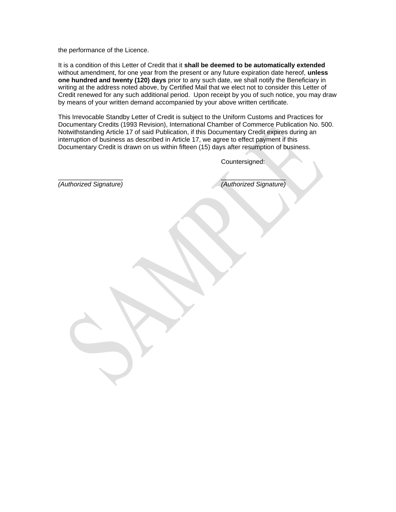the performance of the Licence.

It is a condition of this Letter of Credit that it **shall be deemed to be automatically extended** without amendment, for one year from the present or any future expiration date hereof, **unless one hundred and twenty (120) days** prior to any such date, we shall notify the Beneficiary in writing at the address noted above, by Certified Mail that we elect not to consider this Letter of Credit renewed for any such additional period. Upon receipt by you of such notice, you may draw by means of your written demand accompanied by your above written certificate.

This Irrevocable Standby Letter of Credit is subject to the Uniform Customs and Practices for Documentary Credits (1993 Revision), International Chamber of Commerce Publication No. 500. Notwithstanding Article 17 of said Publication, if this Documentary Credit expires during an interruption of business as described in Article 17, we agree to effect payment if this Documentary Credit is drawn on us within fifteen (15) days after resumption of business.

Countersigned:

*(Authorized Signature) (Authorized Signature)*

 $\overline{\phantom{a}}$  , and the contract of the contract of the contract of the contract of the contract of the contract of the contract of the contract of the contract of the contract of the contract of the contract of the contrac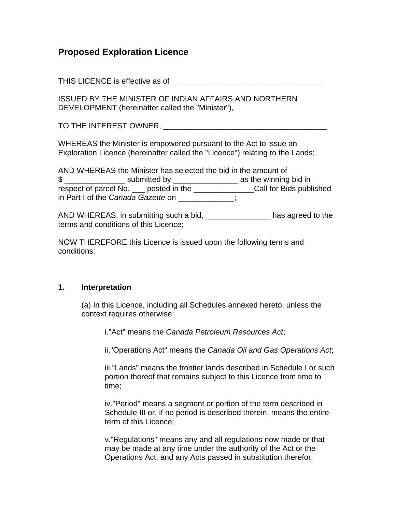# **Proposed Exploration Licence**

THIS LICENCE is effective as of  $\blacksquare$ 

ISSUED BY THE MINISTER OF INDIAN AFFAIRS AND NORTHERN DEVELOPMENT (hereinafter called the "Minister"),

TO THE INTEREST OWNER, THE SERIES OF THE LIGHT  $\sim$ 

WHEREAS the Minister is empowered pursuant to the Act to issue an Exploration Licence (hereinafter called the "Licence") relating to the Lands;

| AND WHEREAS the Minister has selected the bid in the amount of |                                                                                                                                                                                                                                |                         |
|----------------------------------------------------------------|--------------------------------------------------------------------------------------------------------------------------------------------------------------------------------------------------------------------------------|-------------------------|
| \$                                                             | submitted by the control of the control of the control of the control of the control of the control of the control of the control of the control of the control of the control of the control of the control of the control of | as the winning bid in   |
| respect of parcel No. <u>shipper</u> posted in the             |                                                                                                                                                                                                                                | Call for Bids published |
| in Part I of the Canada Gazette on                             |                                                                                                                                                                                                                                |                         |

AND WHEREAS, in submitting such a bid, \_\_\_\_\_\_\_\_\_\_\_\_\_\_\_ has agreed to the terms and conditions of this Licence;

NOW THEREFORE this Licence is issued upon the following terms and conditions:

# **1. Interpretation**

(a) In this Licence, including all Schedules annexed hereto, unless the context requires otherwise:

i."Act" means the *Canada Petroleum Resources Act*;

ii."Operations Act" means the *Canada Oil and Gas Operations Act*;

iii."Lands" means the frontier lands described in Schedule I or such portion thereof that remains subject to this Licence from time to time;

iv."Period" means a segment or portion of the term described in Schedule III or, if no period is described therein, means the entire term of this Licence;

v."Regulations" means any and all regulations now made or that may be made at any time under the authority of the Act or the Operations Act, and any Acts passed in substitution therefor.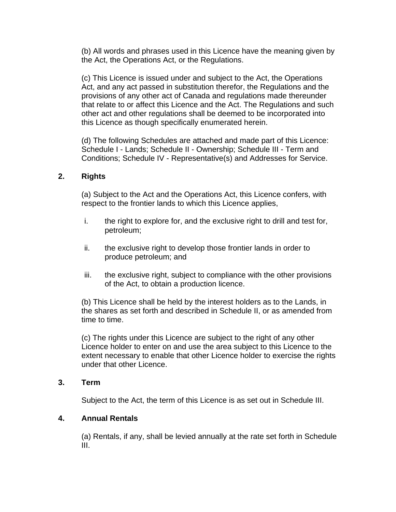(b) All words and phrases used in this Licence have the meaning given by the Act, the Operations Act, or the Regulations.

(c) This Licence is issued under and subject to the Act, the Operations Act, and any act passed in substitution therefor, the Regulations and the provisions of any other act of Canada and regulations made thereunder that relate to or affect this Licence and the Act. The Regulations and such other act and other regulations shall be deemed to be incorporated into this Licence as though specifically enumerated herein.

(d) The following Schedules are attached and made part of this Licence: Schedule I - Lands; Schedule II - Ownership; Schedule III - Term and Conditions; Schedule IV - Representative(s) and Addresses for Service.

# **2. Rights**

(a) Subject to the Act and the Operations Act, this Licence confers, with respect to the frontier lands to which this Licence applies,

- i. the right to explore for, and the exclusive right to drill and test for, petroleum;
- ii. the exclusive right to develop those frontier lands in order to produce petroleum; and
- iii. the exclusive right, subject to compliance with the other provisions of the Act, to obtain a production licence.

(b) This Licence shall be held by the interest holders as to the Lands, in the shares as set forth and described in Schedule II, or as amended from time to time.

(c) The rights under this Licence are subject to the right of any other Licence holder to enter on and use the area subject to this Licence to the extent necessary to enable that other Licence holder to exercise the rights under that other Licence.

# **3. Term**

Subject to the Act, the term of this Licence is as set out in Schedule III.

# **4. Annual Rentals**

(a) Rentals, if any, shall be levied annually at the rate set forth in Schedule III.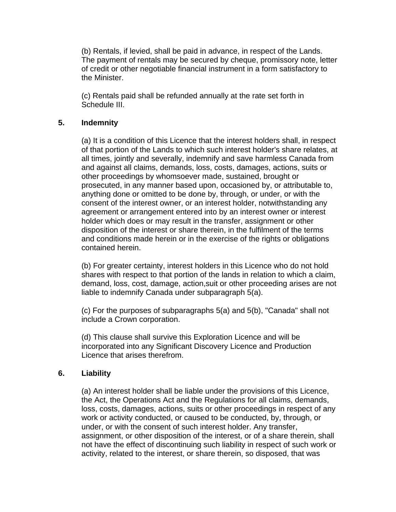(b) Rentals, if levied, shall be paid in advance, in respect of the Lands. The payment of rentals may be secured by cheque, promissory note, letter of credit or other negotiable financial instrument in a form satisfactory to the Minister.

(c) Rentals paid shall be refunded annually at the rate set forth in Schedule III.

# **5. Indemnity**

(a) It is a condition of this Licence that the interest holders shall, in respect of that portion of the Lands to which such interest holder's share relates, at all times, jointly and severally, indemnify and save harmless Canada from and against all claims, demands, loss, costs, damages, actions, suits or other proceedings by whomsoever made, sustained, brought or prosecuted, in any manner based upon, occasioned by, or attributable to, anything done or omitted to be done by, through, or under, or with the consent of the interest owner, or an interest holder, notwithstanding any agreement or arrangement entered into by an interest owner or interest holder which does or may result in the transfer, assignment or other disposition of the interest or share therein, in the fulfilment of the terms and conditions made herein or in the exercise of the rights or obligations contained herein.

(b) For greater certainty, interest holders in this Licence who do not hold shares with respect to that portion of the lands in relation to which a claim, demand, loss, cost, damage, action,suit or other proceeding arises are not liable to indemnify Canada under subparagraph 5(a).

(c) For the purposes of subparagraphs 5(a) and 5(b), "Canada" shall not include a Crown corporation.

(d) This clause shall survive this Exploration Licence and will be incorporated into any Significant Discovery Licence and Production Licence that arises therefrom.

# **6. Liability**

(a) An interest holder shall be liable under the provisions of this Licence, the Act, the Operations Act and the Regulations for all claims, demands, loss, costs, damages, actions, suits or other proceedings in respect of any work or activity conducted, or caused to be conducted, by, through, or under, or with the consent of such interest holder. Any transfer, assignment, or other disposition of the interest, or of a share therein, shall not have the effect of discontinuing such liability in respect of such work or activity, related to the interest, or share therein, so disposed, that was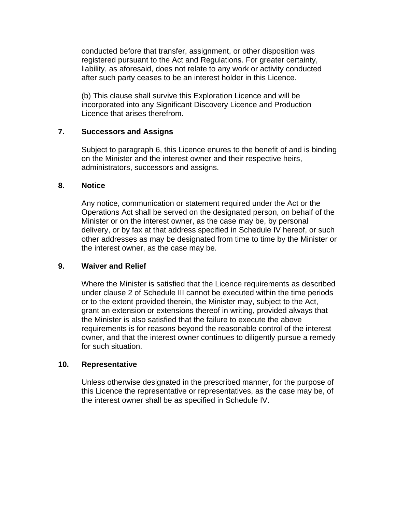conducted before that transfer, assignment, or other disposition was registered pursuant to the Act and Regulations. For greater certainty, liability, as aforesaid, does not relate to any work or activity conducted after such party ceases to be an interest holder in this Licence.

(b) This clause shall survive this Exploration Licence and will be incorporated into any Significant Discovery Licence and Production Licence that arises therefrom.

# **7. Successors and Assigns**

Subject to paragraph 6, this Licence enures to the benefit of and is binding on the Minister and the interest owner and their respective heirs, administrators, successors and assigns.

#### **8. Notice**

Any notice, communication or statement required under the Act or the Operations Act shall be served on the designated person, on behalf of the Minister or on the interest owner, as the case may be, by personal delivery, or by fax at that address specified in Schedule IV hereof, or such other addresses as may be designated from time to time by the Minister or the interest owner, as the case may be.

# **9. Waiver and Relief**

Where the Minister is satisfied that the Licence requirements as described under clause 2 of Schedule III cannot be executed within the time periods or to the extent provided therein, the Minister may, subject to the Act, grant an extension or extensions thereof in writing, provided always that the Minister is also satisfied that the failure to execute the above requirements is for reasons beyond the reasonable control of the interest owner, and that the interest owner continues to diligently pursue a remedy for such situation.

# **10. Representative**

Unless otherwise designated in the prescribed manner, for the purpose of this Licence the representative or representatives, as the case may be, of the interest owner shall be as specified in Schedule IV.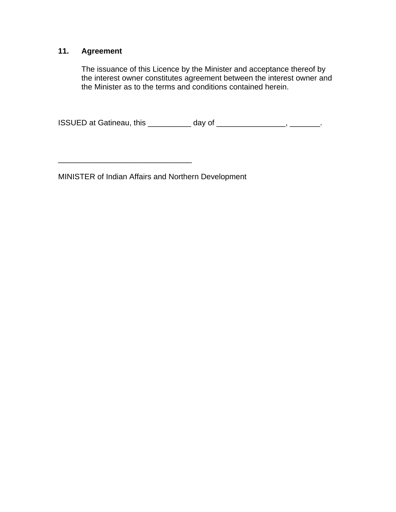# **11. Agreement**

The issuance of this Licence by the Minister and acceptance thereof by the interest owner constitutes agreement between the interest owner and the Minister as to the terms and conditions contained herein.

ISSUED at Gatineau, this \_\_\_\_\_\_\_\_\_\_ day of \_\_\_\_\_\_\_\_\_\_\_\_\_\_\_\_, \_\_\_\_\_\_\_.

MINISTER of Indian Affairs and Northern Development

\_\_\_\_\_\_\_\_\_\_\_\_\_\_\_\_\_\_\_\_\_\_\_\_\_\_\_\_\_\_\_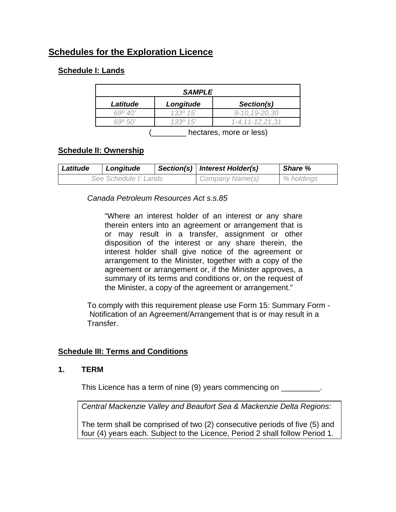# **Schedules for the Exploration Licence**

# **Schedule I: Lands**

| <b>SAMPLE</b>    |             |                 |
|------------------|-------------|-----------------|
| Latitude         | Longitude   | Section(s)      |
| $69^{\circ}$ 40' | 133015'     | 9-10, 19-20, 30 |
|                  | 15<br>1330. | 1-4.11-12.21.31 |
|                  |             |                 |

(\_\_\_\_\_\_\_\_ hectares, more or less)

# **Schedule II: Ownership**

| Latitude | Longitude             | Section(s)   Interest Holder(s) | <b>Share %</b> |
|----------|-----------------------|---------------------------------|----------------|
|          | See Schedule I: Lands | Company Name(s)                 | % holdings     |

# *Canada Petroleum Resources Act s.s.85*

"Where an interest holder of an interest or any share therein enters into an agreement or arrangement that is or may result in a transfer, assignment or other disposition of the interest or any share therein, the interest holder shall give notice of the agreement or arrangement to the Minister, together with a copy of the agreement or arrangement or, if the Minister approves, a summary of its terms and conditions or, on the request of the Minister, a copy of the agreement or arrangement."

To comply with this requirement please use Form 15: Summary Form - Notification of an Agreement/Arrangement that is or may result in a Transfer.

# **Schedule III: Terms and Conditions**

# **1. TERM**

This Licence has a term of nine (9) years commencing on \_\_\_\_\_\_\_\_\_.

*Central Mackenzie Valley and Beaufort Sea & Mackenzie Delta Regions:* 

The term shall be comprised of two (2) consecutive periods of five (5) and four (4) years each. Subject to the Licence, Period 2 shall follow Period 1.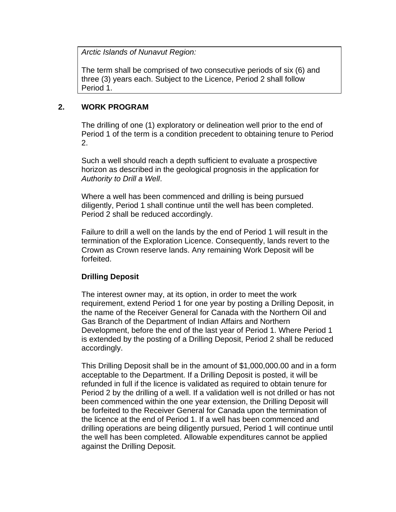*Arctic Islands of Nunavut Region:* 

The term shall be comprised of two consecutive periods of six (6) and three (3) years each. Subject to the Licence, Period 2 shall follow Period 1.

#### **2. WORK PROGRAM**

The drilling of one (1) exploratory or delineation well prior to the end of Period 1 of the term is a condition precedent to obtaining tenure to Period 2.

Such a well should reach a depth sufficient to evaluate a prospective horizon as described in the geological prognosis in the application for *Authority to Drill a Well*.

Where a well has been commenced and drilling is being pursued diligently, Period 1 shall continue until the well has been completed. Period 2 shall be reduced accordingly.

Failure to drill a well on the lands by the end of Period 1 will result in the termination of the Exploration Licence. Consequently, lands revert to the Crown as Crown reserve lands. Any remaining Work Deposit will be forfeited.

# **Drilling Deposit**

The interest owner may, at its option, in order to meet the work requirement, extend Period 1 for one year by posting a Drilling Deposit, in the name of the Receiver General for Canada with the Northern Oil and Gas Branch of the Department of Indian Affairs and Northern Development, before the end of the last year of Period 1. Where Period 1 is extended by the posting of a Drilling Deposit, Period 2 shall be reduced accordingly.

This Drilling Deposit shall be in the amount of \$1,000,000.00 and in a form acceptable to the Department. If a Drilling Deposit is posted, it will be refunded in full if the licence is validated as required to obtain tenure for Period 2 by the drilling of a well. If a validation well is not drilled or has not been commenced within the one year extension, the Drilling Deposit will be forfeited to the Receiver General for Canada upon the termination of the licence at the end of Period 1. If a well has been commenced and drilling operations are being diligently pursued, Period 1 will continue until the well has been completed. Allowable expenditures cannot be applied against the Drilling Deposit.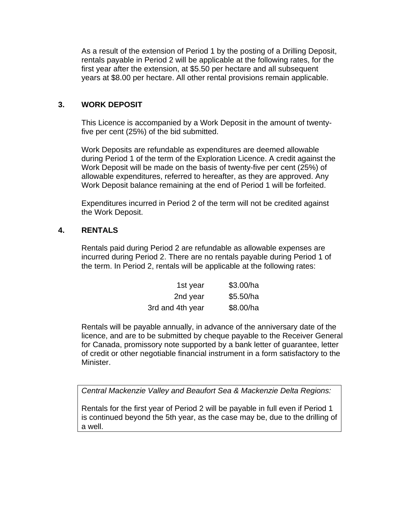As a result of the extension of Period 1 by the posting of a Drilling Deposit, rentals payable in Period 2 will be applicable at the following rates, for the first year after the extension, at \$5.50 per hectare and all subsequent years at \$8.00 per hectare. All other rental provisions remain applicable.

# **3. WORK DEPOSIT**

This Licence is accompanied by a Work Deposit in the amount of twentyfive per cent (25%) of the bid submitted.

Work Deposits are refundable as expenditures are deemed allowable during Period 1 of the term of the Exploration Licence. A credit against the Work Deposit will be made on the basis of twenty-five per cent (25%) of allowable expenditures, referred to hereafter, as they are approved. Any Work Deposit balance remaining at the end of Period 1 will be forfeited.

Expenditures incurred in Period 2 of the term will not be credited against the Work Deposit.

# **4. RENTALS**

Rentals paid during Period 2 are refundable as allowable expenses are incurred during Period 2. There are no rentals payable during Period 1 of the term. In Period 2, rentals will be applicable at the following rates:

| 1st year         | \$3.00/ha |
|------------------|-----------|
| 2nd year         | \$5.50/ha |
| 3rd and 4th year | \$8.00/ha |

Rentals will be payable annually, in advance of the anniversary date of the licence, and are to be submitted by cheque payable to the Receiver General for Canada, promissory note supported by a bank letter of guarantee, letter of credit or other negotiable financial instrument in a form satisfactory to the Minister.

*Central Mackenzie Valley and Beaufort Sea & Mackenzie Delta Regions:* 

Rentals for the first year of Period 2 will be payable in full even if Period 1 is continued beyond the 5th year, as the case may be, due to the drilling of a well.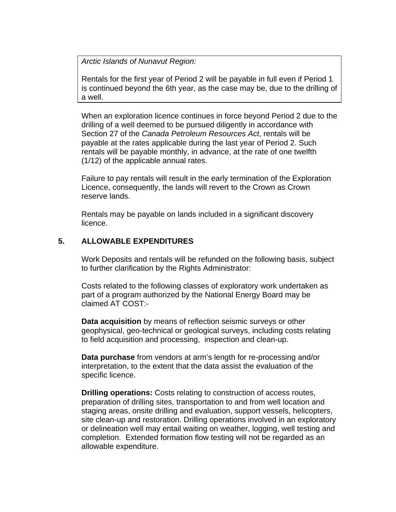*Arctic Islands of Nunavut Region:* 

Rentals for the first year of Period 2 will be payable in full even if Period 1 is continued beyond the 6th year, as the case may be, due to the drilling of a well.

When an exploration licence continues in force beyond Period 2 due to the drilling of a well deemed to be pursued diligently in accordance with Section 27 of the *Canada Petroleum Resources Act*, rentals will be payable at the rates applicable during the last year of Period 2. Such rentals will be payable monthly, in advance, at the rate of one twelfth (1/12) of the applicable annual rates.

Failure to pay rentals will result in the early termination of the Exploration Licence, consequently, the lands will revert to the Crown as Crown reserve lands.

Rentals may be payable on lands included in a significant discovery licence.

# **5. ALLOWABLE EXPENDITURES**

Work Deposits and rentals will be refunded on the following basis, subject to further clarification by the Rights Administrator:

Costs related to the following classes of exploratory work undertaken as part of a program authorized by the National Energy Board may be claimed AT COST:-

**Data acquisition** by means of reflection seismic surveys or other geophysical, geo-technical or geological surveys, including costs relating to field acquisition and processing, inspection and clean-up.

**Data purchase** from vendors at arm's length for re-processing and/or interpretation, to the extent that the data assist the evaluation of the specific licence.

**Drilling operations:** Costs relating to construction of access routes, preparation of drilling sites, transportation to and from well location and staging areas, onsite drilling and evaluation, support vessels, helicopters, site clean-up and restoration. Drilling operations involved in an exploratory or delineation well may entail waiting on weather, logging, well testing and completion. Extended formation flow testing will not be regarded as an allowable expenditure.